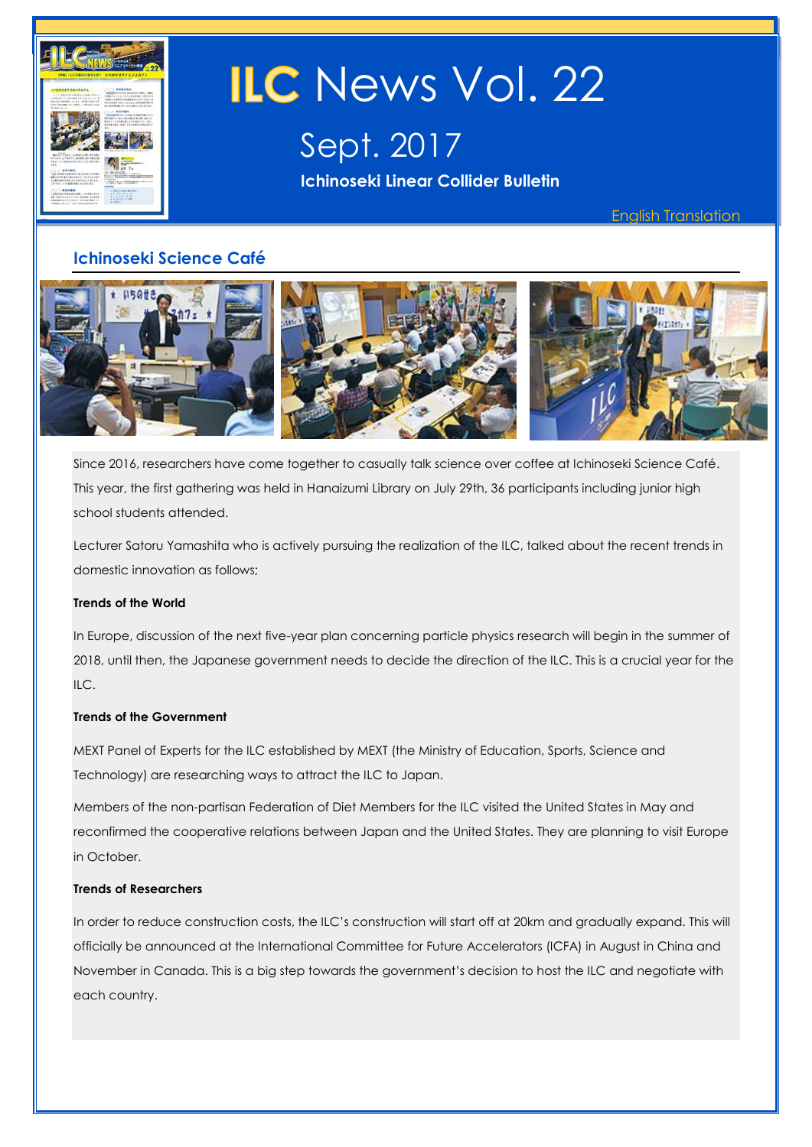

# **ILC** News Vol. 22

Sept. 2017 **Ichinoseki Linear Collider Bulletin** 

English Translation

## **Ichinoseki Science Café**



Since 2016, researchers have come together to casually talk science over coffee at Ichinoseki Science Café. This year, the first gathering was held in Hanaizumi Library on July 29th, 36 participants including junior high school students attended.

Lecturer Satoru Yamashita who is actively pursuing the realization of the ILC, talked about the recent trends in domestic innovation as follows;

#### **Trends of the World**

In Europe, discussion of the next five-year plan concerning particle physics research will begin in the summer of 2018, until then, the Japanese government needs to decide the direction of the ILC. This is a crucial year for the ILC.

#### **Trends of the Government**

MEXT Panel of Experts for the ILC established by MEXT (the Ministry of Education, Sports, Science and Technology) are researching ways to attract the ILC to Japan.

Members of the non-partisan Federation of Diet Members for the ILC visited the United States in May and reconfirmed the cooperative relations between Japan and the United States. They are planning to visit Europe in October.

#### **Trends of Researchers**

In order to reduce construction costs, the ILC's construction will start off at 20km and gradually expand. This will officially be announced at the International Committee for Future Accelerators (ICFA) in August in China and November in Canada. This is a big step towards the government's decision to host the ILC and negotiate with each country.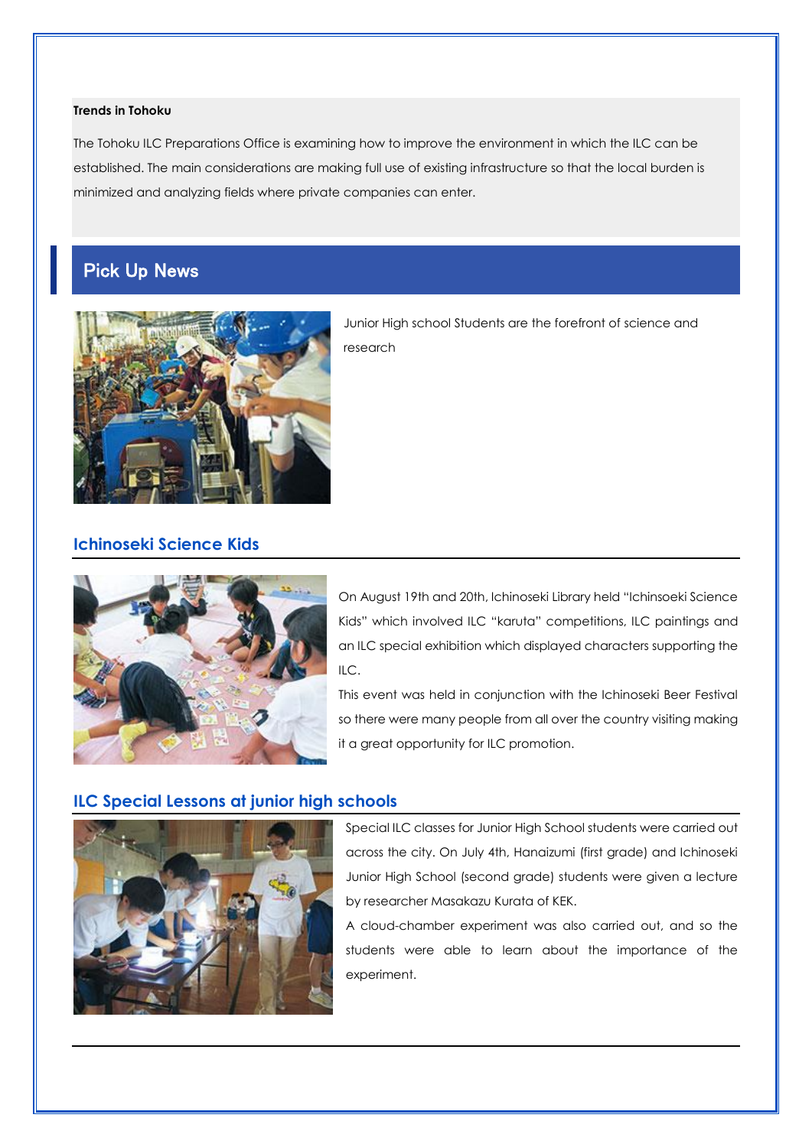#### **Trends in Tohoku**

The Tohoku ILC Preparations Office is examining how to improve the environment in which the ILC can be established. The main considerations are making full use of existing infrastructure so that the local burden is minimized and analyzing fields where private companies can enter.

## Pick Up News



Junior High school Students are the forefront of science and research

## **Ichinoseki Science Kids**



On August 19th and 20th, Ichinoseki Library held "Ichinsoeki Science Kids" which involved ILC "karuta" competitions, ILC paintings and an ILC special exhibition which displayed characters supporting the ILC.

This event was held in conjunction with the Ichinoseki Beer Festival so there were many people from all over the country visiting making it a great opportunity for ILC promotion.

#### **ILC Special Lessons at junior high schools**



Special ILC classes for Junior High School students were carried out across the city. On July 4th, Hanaizumi (first grade) and Ichinoseki Junior High School (second grade) students were given a lecture by researcher Masakazu Kurata of KEK.

A cloud-chamber experiment was also carried out, and so the students were able to learn about the importance of the experiment.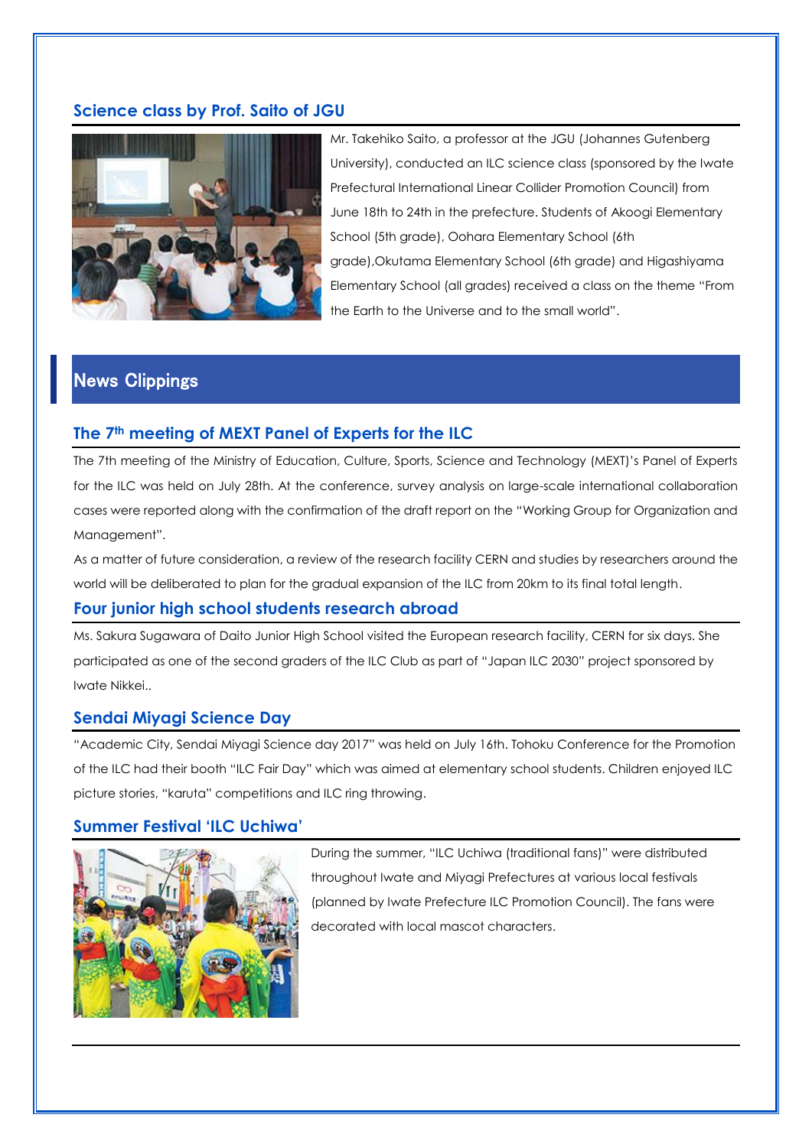## **Science class by Prof. Saito of JGU**



Mr. Takehiko Saito, a professor at the JGU (Johannes Gutenberg University), conducted an ILC science class (sponsored by the Iwate Prefectural International Linear Collider Promotion Council) from June 18th to 24th in the prefecture. Students of Akoogi Elementary School (5th grade), Oohara Elementary School (6th grade),Okutama Elementary School (6th grade) and Higashiyama Elementary School (all grades) received a class on the theme "From the Earth to the Universe and to the small world".

## News Clippings

#### **The 7th meeting of MEXT Panel of Experts for the ILC**

The 7th meeting of the Ministry of Education, Culture, Sports, Science and Technology (MEXT)'s Panel of Experts for the ILC was held on July 28th. At the conference, survey analysis on large-scale international collaboration cases were reported along with the confirmation of the draft report on the "Working Group for Organization and Management".

As a matter of future consideration, a review of the research facility CERN and studies by researchers around the world will be deliberated to plan for the gradual expansion of the ILC from 20km to its final total length.

#### **Four junior high school students research abroad**

Ms. Sakura Sugawara of Daito Junior High School visited the European research facility, CERN for six days. She participated as one of the second graders of the ILC Club as part of "Japan ILC 2030" project sponsored by Iwate Nikkei..

#### **Sendai Miyagi Science Day**

"Academic City, Sendai Miyagi Science day 2017" was held on July 16th. Tohoku Conference for the Promotion of the ILC had their booth "ILC Fair Day" which was aimed at elementary school students. Children enjoyed ILC picture stories, "karuta" competitions and ILC ring throwing.

#### **Summer Festival 'ILC Uchiwa'**



During the summer, "ILC Uchiwa (traditional fans)" were distributed throughout Iwate and Miyagi Prefectures at various local festivals (planned by Iwate Prefecture ILC Promotion Council). The fans were decorated with local mascot characters.